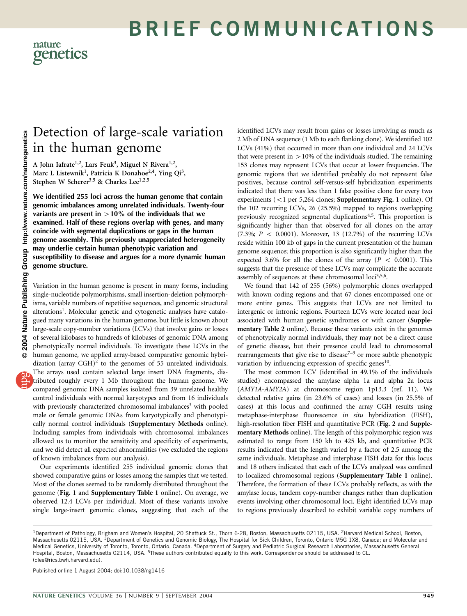# BRIEF COMMUNICATIONS

### nature genetics

## Detection of large-scale variation in the human genome

A John Iafrate<sup>1,2</sup>, Lars Feuk<sup>3</sup>, Miguel N Rivera<sup>1,2</sup>, Marc L Listewnik<sup>1</sup>, Patricia K Donahoe<sup>2,4</sup>, Ying Qi<sup>3</sup>, Stephen W Scherer<sup>3,5</sup> & Charles Lee<sup>1,2,5</sup>

We identified 255 loci across the human genome that contain genomic imbalances among unrelated individuals. Twenty-four variants are present in  $>10\%$  of the individuals that we examined. Half of these regions overlap with genes, and many coincide with segmental duplications or gaps in the human genome assembly. This previously unappreciated heterogeneity may underlie certain human phenotypic variation and susceptibility to disease and argues for a more dynamic human genome structure.

Variation in the human genome is present in many forms, including single-nucleotide polymorphisms, small insertion-deletion polymorphisms, variable numbers of repetitive sequences, and genomic structural alterations<sup>1</sup>. Molecular genetic and cytogenetic analyses have catalogued many variations in the human genome, but little is known about large-scale copy-number variations (LCVs) that involve gains or losses of several kilobases to hundreds of kilobases of genomic DNA among phenotypically normal individuals. To investigate these LCVs in the human genome, we applied array-based comparative genomic hybridization (array CGH)<sup>2</sup> to the genomes of 55 unrelated individuals. The arrays used contain selected large insert DNA fragments, distributed roughly every 1 Mb throughout the human genome. We compared genomic DNA samples isolated from 39 unrelated healthy control individuals with normal karyotypes and from 16 individuals with previously characterized chromosomal imbalances<sup>3</sup> with pooled male or female genomic DNAs from karyotypically and phenotypically normal control individuals (Supplementary Methods online). Including samples from individuals with chromosomal imbalances allowed us to monitor the sensitivity and specificity of experiments, and we did detect all expected abnormalities (we excluded the regions of known imbalances from our analysis).

Our experiments identified 255 individual genomic clones that showed comparative gains or losses among the samples that we tested. Most of the clones seemed to be randomly distributed throughout the genome (Fig. 1 and Supplementary Table 1 online). On average, we observed 12.4 LCVs per individual. Most of these variants involve single large-insert genomic clones, suggesting that each of the identified LCVs may result from gains or losses involving as much as 2 Mb of DNA sequence (1 Mb to each flanking clone). We identified 102 LCVs (41%) that occurred in more than one individual and 24 LCVs that were present in  $>10\%$  of the individuals studied. The remaining 153 clones may represent LCVs that occur at lower frequencies. The genomic regions that we identified probably do not represent false positives, because control self-versus-self hybridization experiments indicated that there was less than 1 false positive clone for every two experiments  $(< 1$  per 5,264 clones; Supplementary Fig. 1 online). Of the 102 recurring LCVs, 26 (25.5%) mapped to regions overlapping previously recognized segmental duplications<sup>4,5</sup>. This proportion is significantly higher than that observed for all clones on the array  $(7.3\%; P < 0.0001)$ . Moreover, 13 (12.7%) of the recurring LCVs reside within 100 kb of gaps in the current presentation of the human genome sequence; this proportion is also significantly higher than the expected 3.6% for all the clones of the array ( $P < 0.0001$ ). This suggests that the presence of these LCVs may complicate the accurate assembly of sequences at these chromosomal loci<sup>3,5,6</sup>.

We found that 142 of 255 (56%) polymorphic clones overlapped with known coding regions and that 67 clones encompassed one or more entire genes. This suggests that LCVs are not limited to intergenic or intronic regions. Fourteen LCVs were located near loci associated with human genetic syndromes or with cancer (Supplementary Table 2 online). Because these variants exist in the genomes of phenotypically normal individuals, they may not be a direct cause of genetic disease, but their presence could lead to chromosomal rearrangements that give rise to disease<sup> $7-9$ </sup> or more subtle phenotypic variation by influencing expression of specific genes<sup>10</sup>.

The most common LCV (identified in 49.1% of the individuals studied) encompassed the amylase alpha 1a and alpha 2a locus (AMY1A-AMY2A) at chromosome region 1p13.3 (ref. 11). We detected relative gains (in 23.6% of cases) and losses (in 25.5% of cases) at this locus and confirmed the array CGH results using metaphase-interphase fluorescence in situ hybridization (FISH), high-resolution fiber FISH and quantitative PCR (Fig. 2 and Supplementary Methods online). The length of this polymorphic region was estimated to range from 150 kb to 425 kb, and quantitative PCR results indicated that the length varied by a factor of 2.5 among the same individuals. Metaphase and interphase FISH data for this locus and 18 others indicated that each of the LCVs analyzed was confined to localized chromosomal regions (Supplementary Table 1 online). Therefore, the formation of these LCVs probably reflects, as with the amylase locus, tandem copy-number changes rather than duplication events involving other chromosomal loci. Eight identified LCVs map to regions previously described to exhibit variable copy numbers of

Published online 1 August 2004; doi:10.1038/ng1416

<sup>1</sup>Department of Pathology, Brigham and Women's Hospital, 20 Shattuck St., Thorn 6-28, Boston, Massachusetts 02115, USA. <sup>2</sup>Harvard Medical School, Boston, Massachusetts 02115, USA. <sup>3</sup>Department of Genetics and Genomic Biology, The Hospital for Sick Children, Toronto, Ontario M5G 1X8, Canada; and Molecular and Medical Genetics, University of Toronto, Toronto, Ontario, Canada. 4Department of Surgery and Pediatric Surgical Research Laboratories, Massachusetts General Hospital, Boston, Massachusetts 02114, USA. <sup>5</sup>These authors contributed equally to this work. Correspondence should be addressed to CL. (clee@rics.bwh.harvard.edu).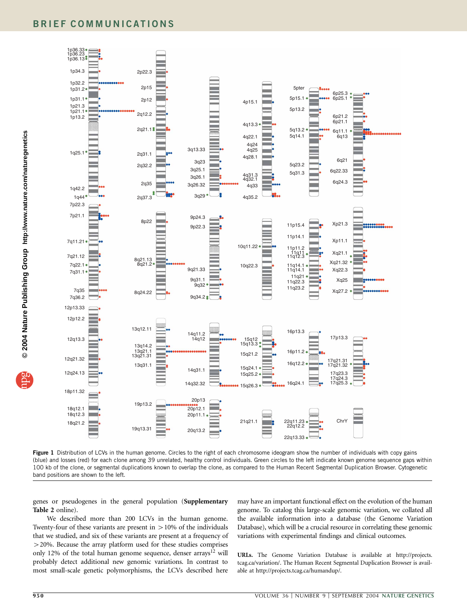

Figure 1 Distribution of LCVs in the human genome. Circles to the right of each chromosome ideogram show the number of individuals with copy gains (blue) and losses (red) for each clone among 39 unrelated, healthy control individuals. Green circles to the left indicate known genome sequence gaps within 100 kb of the clone, or segmental duplications known to overlap the clone, as compared to the Human Recent Segmental Duplication Browser. Cytogenetic band positions are shown to the left.

genes or pseudogenes in the general population (Supplementary Table 2 online).

We described more than 200 LCVs in the human genome. Twenty-four of these variants are present in  $> 10\%$  of the individuals that we studied, and six of these variants are present at a frequency of 420%. Because the array platform used for these studies comprises only 12% of the total human genome sequence, denser arrays<sup>12</sup> will probably detect additional new genomic variations. In contrast to most small-scale genetic polymorphisms, the LCVs described here may have an important functional effect on the evolution of the human genome. To catalog this large-scale genomic variation, we collated all the available information into a database (the Genome Variation Database), which will be a crucial resource in correlating these genomic variations with experimental findings and clinical outcomes.

URLs. The Genome Variation Database is available at http://projects. tcag.ca/variation/. The Human Recent Segmental Duplication Browser is available at http://projects.tcag.ca/humandup/.